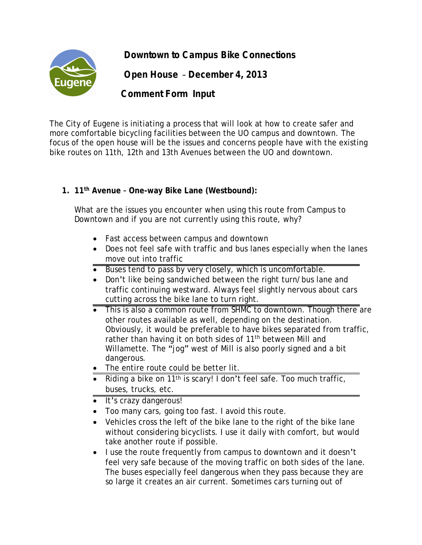**Downtown to Campus Bike Connections**



 **Open House** – **December 4, 2013**

# **Comment Form Input**

The City of Eugene is initiating a process that will look at how to create safer and more comfortable bicycling facilities between the UO campus and downtown. The focus of the open house will be the issues and concerns people have with the existing bike routes on 11th, 12th and 13th Avenues between the UO and downtown.

## **1. 11th Avenue – One-way Bike Lane (Westbound):**

What are the issues you encounter when using this route from Campus to Downtown and if you are not currently using this route, why?

- · Fast access between campus and downtown
- · Does not feel safe with traffic and bus lanes especially when the lanes move out into traffic
- Buses tend to pass by very closely, which is uncomfortable.
- · Don't like being sandwiched between the right turn/bus lane and traffic continuing westward. Always feel slightly nervous about cars cutting across the bike lane to turn right.
- This is also a common route from SHMC to downtown. Though there are other routes available as well, depending on the destination. Obviously, it would be preferable to have bikes separated from traffic, rather than having it on both sides of 11<sup>th</sup> between Mill and Willamette. The "jog" west of Mill is also poorly signed and a bit dangerous.
- · The entire route could be better lit.
- Riding a bike on  $11<sup>th</sup>$  is scary! I don't feel safe. Too much traffic, buses, trucks, etc.
- · It's crazy dangerous!
- · Too many cars, going too fast. I avoid this route.
- · Vehicles cross the left of the bike lane to the right of the bike lane without considering bicyclists. I use it daily with comfort, but would take another route if possible.
- · I use the route frequently from campus to downtown and it doesn't feel very safe because of the moving traffic on both sides of the lane. The buses especially feel dangerous when they pass because they are so large it creates an air current. Sometimes cars turning out of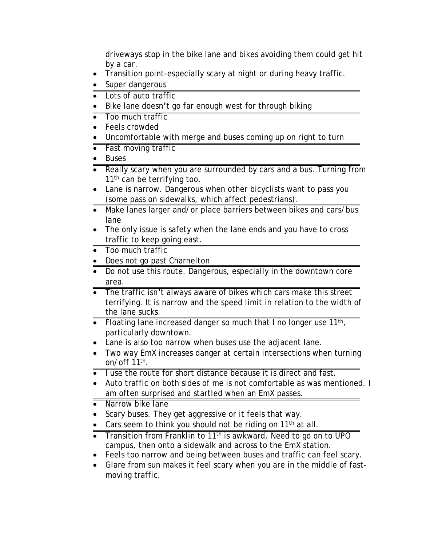driveways stop in the bike lane and bikes avoiding them could get hit by a car.

- · Transition point-especially scary at night or during heavy traffic.
- Super dangerous
- Lots of auto traffic
- Bike lane doesn't go far enough west for through biking
- Too much traffic
- · Feels crowded
- · Uncomfortable with merge and buses coming up on right to turn
- Fast moving traffic
- · Buses
- Really scary when you are surrounded by cars and a bus. Turning from 11<sup>th</sup> can be terrifying too.
- Lane is narrow. Dangerous when other bicyclists want to pass you (some pass on sidewalks, which affect pedestrians).
- Make lanes larger and/or place barriers between bikes and cars/bus lane
- The only issue is safety when the lane ends and you have to cross traffic to keep going east.
- Too much traffic
- Does not go past Charnelton
- · Do not use this route. Dangerous, especially in the downtown core area.
- The traffic isn't always aware of bikes which cars make this street terrifying. It is narrow and the speed limit in relation to the width of the lane sucks.
- Floating lane increased danger so much that I no longer use 11<sup>th</sup>, particularly downtown.
- · Lane is also too narrow when buses use the adjacent lane.
- · Two way EmX increases danger at certain intersections when turning on/off 11th .
- · I use the route for short distance because it is direct and fast.
- · Auto traffic on both sides of me is not comfortable as was mentioned. I am often surprised and startled when an EmX passes.
- Narrow bike lane
- · Scary buses. They get aggressive or it feels that way.
- Cars seem to think you should not be riding on  $11<sup>th</sup>$  at all.
- Transition from Franklin to 11<sup>th</sup> is awkward. Need to go on to UPO campus, then onto a sidewalk and across to the EmX station.
- Feels too narrow and being between buses and traffic can feel scary.
- · Glare from sun makes it feel scary when you are in the middle of fastmoving traffic.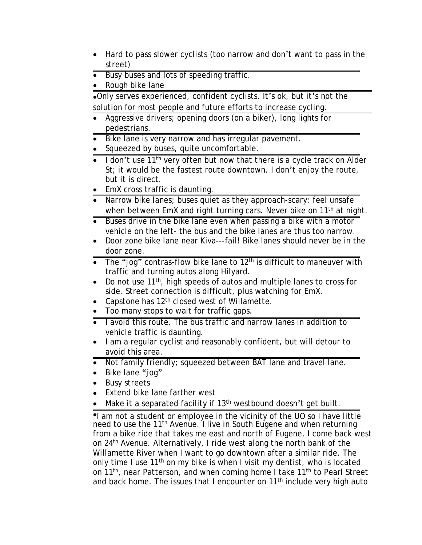- Hard to pass slower cyclists (too narrow and don't want to pass in the street)
- · Busy buses and lots of speeding traffic.
- Rough bike lane

·Only serves experienced, confident cyclists. It's ok, but it's not the solution for most people and future efforts to increase cycling.

- Aggressive drivers; opening doors (on a biker), long lights for pedestrians.
- Bike lane is very narrow and has irregular pavement.
- Squeezed by buses, quite uncomfortable.
- $\bullet$  I don't use 11<sup>th</sup> very often but now that there is a cycle track on Alder St; it would be the fastest route downtown. I don't enjoy the route, but it is direct.
- EmX cross traffic is daunting.
- Narrow bike lanes; buses quiet as they approach-scary; feel unsafe when between EmX and right turning cars. Never bike on 11<sup>th</sup> at night.
- Buses drive in the bike lane even when passing a bike with a motor vehicle on the left- the bus and the bike lanes are thus too narrow.
- · Door zone bike lane near Kiva---fail! Bike lanes should never be in the door zone.
- $\overline{\bullet}$  The "jog" contras-flow bike lane to 12<sup>th</sup> is difficult to maneuver with traffic and turning autos along Hilyard.
- Do not use 11<sup>th</sup>, high speeds of autos and multiple lanes to cross for side. Street connection is difficult, plus watching for EmX.
- Capstone has 12<sup>th</sup> closed west of Willamette.
- · Too many stops to wait for traffic gaps.
- I avoid this route. The bus traffic and narrow lanes in addition to vehicle traffic is daunting.
- · I am a regular cyclist and reasonably confident, but will detour to avoid this area.
- · Not family friendly; squeezed between BAT lane and travel lane.
- · Bike lane "jog"
- · Busy streets
- Extend bike lane farther west
- Make it a separated facility if 13<sup>th</sup> westbound doesn't get built.

·I am not a student or employee in the vicinity of the UO so I have little need to use the 11<sup>th</sup> Avenue. I live in South Eugene and when returning from a bike ride that takes me east and north of Eugene, I come back west on 24th Avenue. Alternatively, I ride west along the north bank of the Willamette River when I want to go downtown after a similar ride. The only time I use  $11<sup>th</sup>$  on my bike is when I visit my dentist, who is located on 11<sup>th</sup>, near Patterson, and when coming home I take 11<sup>th</sup> to Pearl Street and back home. The issues that I encounter on 11<sup>th</sup> include very high auto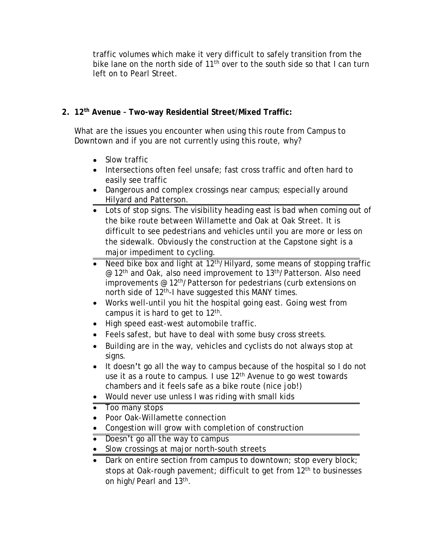traffic volumes which make it very difficult to safely transition from the bike lane on the north side of  $11^{th}$  over to the south side so that I can turn left on to Pearl Street.

## **2. 12th Avenue – Two-way Residential Street/Mixed Traffic:**

What are the issues you encounter when using this route from Campus to Downtown and if you are not currently using this route, why?

- Slow traffic
- · Intersections often feel unsafe; fast cross traffic and often hard to easily see traffic
- · Dangerous and complex crossings near campus; especially around Hilyard and Patterson.
- Lots of stop signs. The visibility heading east is bad when coming out of the bike route between Willamette and Oak at Oak Street. It is difficult to see pedestrians and vehicles until you are more or less on the sidewalk. Obviously the construction at the Capstone sight is a major impediment to cycling.
- **Need bike box and light at 12<sup>th</sup>/Hilyard, some means of stopping traffic** @ 12th and Oak, also need improvement to 13th/Patterson. Also need improvements @ 12th/Patterson for pedestrians (curb extensions on north side of 12th-I have suggested this MANY times.
- · Works well-until you hit the hospital going east. Going west from campus it is hard to get to  $12<sup>th</sup>$ .
- · High speed east-west automobile traffic.
- · Feels safest, but have to deal with some busy cross streets.
- · Building are in the way, vehicles and cyclists do not always stop at signs.
- · It doesn't go all the way to campus because of the hospital so I do not use it as a route to campus. I use 12<sup>th</sup> Avenue to go west towards chambers and it feels safe as a bike route (nice job!)
- · Would never use unless I was riding with small kids
- Too many stops
- · Poor Oak-Willamette connection
- · Congestion will grow with completion of construction
- Doesn't go all the way to campus
- Slow crossings at major north-south streets
- Dark on entire section from campus to downtown; stop every block; stops at Oak-rough pavement; difficult to get from 12<sup>th</sup> to businesses on high/Pearl and 13<sup>th</sup>.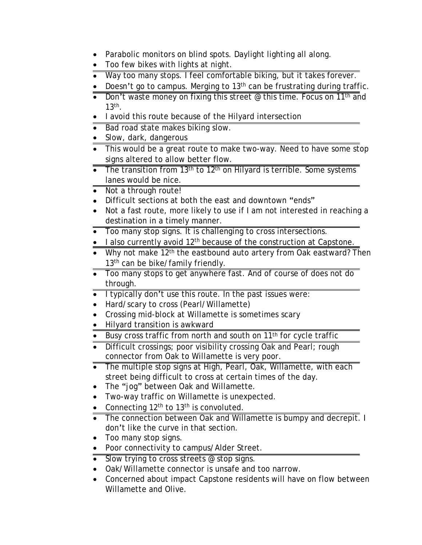- Parabolic monitors on blind spots. Daylight lighting all along.
- · Too few bikes with lights at night.
- · Way too many stops. I feel comfortable biking, but it takes forever.
- Doesn't go to campus. Merging to 13<sup>th</sup> can be frustrating during traffic.
- Don't waste money on fixing this street @ this time. Focus on 11<sup>th</sup> and  $13<sup>th</sup>$ .
- · I avoid this route because of the Hilyard intersection
- Bad road state makes biking slow.
- Slow, dark, dangerous
- This would be a great route to make two-way. Need to have some stop signs altered to allow better flow.
- $\overline{\bullet}$  The transition from 13<sup>th</sup> to 12<sup>th</sup> on Hilyard is terrible. Some systems lanes would be nice.
- Not a through route!
- · Difficult sections at both the east and downtown "ends"
- Not a fast route, more likely to use if I am not interested in reaching a destination in a timely manner.
- · Too many stop signs. It is challenging to cross intersections.
- $\bullet$  I also currently avoid 12<sup>th</sup> because of the construction at Capstone.
- Why not make  $12<sup>th</sup>$  the eastbound auto artery from Oak eastward? Then 13<sup>th</sup> can be bike/family friendly.
- Too many stops to get anywhere fast. And of course of does not do through.
- · I typically don't use this route. In the past issues were:
- · Hard/scary to cross (Pearl/Willamette)
- · Crossing mid-block at Willamette is sometimes scary
- Hilyard transition is awkward
- Busy cross traffic from north and south on 11<sup>th</sup> for cycle traffic
- Difficult crossings; poor visibility crossing Oak and Pearl; rough connector from Oak to Willamette is very poor.
- The multiple stop signs at High, Pearl, Oak, Willamette, with each street being difficult to cross at certain times of the day.
- · The "jog" between Oak and Willamette.
- · Two-way traffic on Willamette is unexpected.
- Connecting  $12<sup>th</sup>$  to  $13<sup>th</sup>$  is convoluted.
- The connection between Oak and Willamette is bumpy and decrepit. I don't like the curve in that section.
- · Too many stop signs.
- · Poor connectivity to campus/Alder Street.
- Slow trying to cross streets @ stop signs.
- · Oak/Willamette connector is unsafe and too narrow.
- Concerned about impact Capstone residents will have on flow between Willamette and Olive.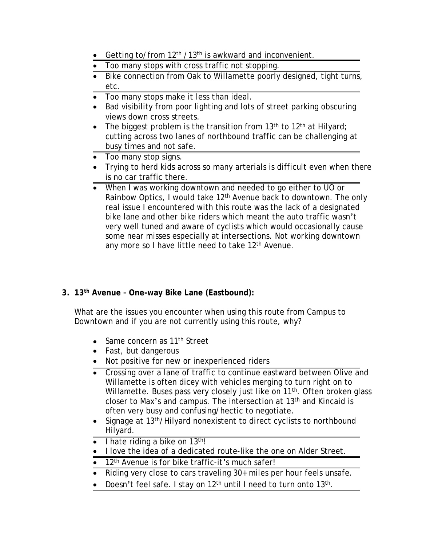- Getting to/from 12<sup>th</sup> /13<sup>th</sup> is awkward and inconvenient.
- · Too many stops with cross traffic not stopping.
- Bike connection from Oak to Willamette poorly designed, tight turns, etc.
- · Too many stops make it less than ideal.
- Bad visibility from poor lighting and lots of street parking obscuring views down cross streets.
- The biggest problem is the transition from  $13<sup>th</sup>$  to  $12<sup>th</sup>$  at Hilyard; cutting across two lanes of northbound traffic can be challenging at busy times and not safe.
- Too many stop signs.
- · Trying to herd kids across so many arterials is difficult even when there is no car traffic there.
- · When I was working downtown and needed to go either to UO or Rainbow Optics, I would take  $12<sup>th</sup>$  Avenue back to downtown. The only real issue I encountered with this route was the lack of a designated bike lane and other bike riders which meant the auto traffic wasn't very well tuned and aware of cyclists which would occasionally cause some near misses especially at intersections. Not working downtown any more so I have little need to take 12<sup>th</sup> Avenue.

# **3. 13th Avenue – One-way Bike Lane (Eastbound):**

What are the issues you encounter when using this route from Campus to Downtown and if you are not currently using this route, why?

- Same concern as 11<sup>th</sup> Street
- Fast, but dangerous
- · Not positive for new or inexperienced riders
- · Crossing over a lane of traffic to continue eastward between Olive and Willamette is often dicey with vehicles merging to turn right on to Willamette. Buses pass very closely just like on 11<sup>th</sup>. Often broken glass closer to Max's and campus. The intersection at 13th and Kincaid is often very busy and confusing/hectic to negotiate.
- Signage at 13<sup>th</sup>/Hilyard nonexistent to direct cyclists to northbound Hilyard.
- $\bullet$  I hate riding a bike on 13<sup>th</sup>!
- · I love the idea of a dedicated route-like the one on Alder Street.
- 12<sup>th</sup> Avenue is for bike traffic-it's much safer!
- Riding very close to cars traveling 30+ miles per hour feels unsafe.
- Doesn't feel safe. I stay on  $12<sup>th</sup>$  until I need to turn onto  $13<sup>th</sup>$ .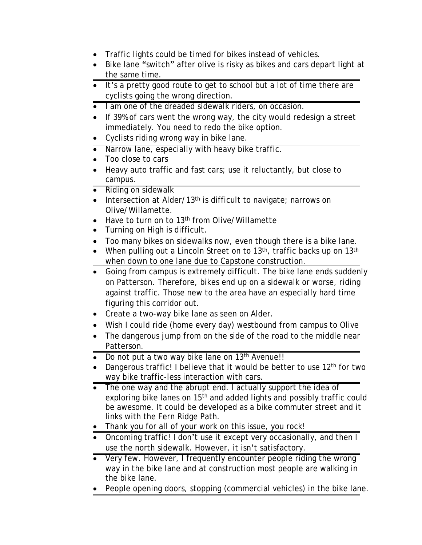- · Traffic lights could be timed for bikes instead of vehicles.
- Bike lane "switch" after olive is risky as bikes and cars depart light at the same time.
- · It's a pretty good route to get to school but a lot of time there are cyclists going the wrong direction.
- I am one of the dreaded sidewalk riders, on occasion.
- If 39% of cars went the wrong way, the city would redesign a street immediately. You need to redo the bike option.
- · Cyclists riding wrong way in bike lane.
- Narrow lane, especially with heavy bike traffic.
- · Too close to cars
- · Heavy auto traffic and fast cars; use it reluctantly, but close to campus.
- · Riding on sidewalk
- Intersection at Alder/13<sup>th</sup> is difficult to navigate; narrows on Olive/Willamette.
- Have to turn on to 13<sup>th</sup> from Olive/Willamette
- · Turning on High is difficult.
- · Too many bikes on sidewalks now, even though there is a bike lane.
- When pulling out a Lincoln Street on to 13<sup>th</sup>, traffic backs up on 13<sup>th</sup> when down to one lane due to Capstone construction.
- Going from campus is extremely difficult. The bike lane ends suddenly on Patterson. Therefore, bikes end up on a sidewalk or worse, riding against traffic. Those new to the area have an especially hard time figuring this corridor out.
- Create a two-way bike lane as seen on Alder.
- Wish I could ride (home every day) westbound from campus to Olive
- · The dangerous jump from on the side of the road to the middle near Patterson.
- Do not put a two way bike lane on 13<sup>th</sup> Avenue!!
- Dangerous traffic! I believe that it would be better to use 12<sup>th</sup> for two way bike traffic-less interaction with cars.
- The one way and the abrupt end. I actually support the idea of exploring bike lanes on 15<sup>th</sup> and added lights and possibly traffic could be awesome. It could be developed as a bike commuter street and it links with the Fern Ridge Path.
- · Thank you for all of your work on this issue, you rock!
- Oncoming traffic! I don't use it except very occasionally, and then I use the north sidewalk. However, it isn't satisfactory.
- Very few. However, I frequently encounter people riding the wrong way in the bike lane and at construction most people are walking in the bike lane.
- People opening doors, stopping (commercial vehicles) in the bike lane.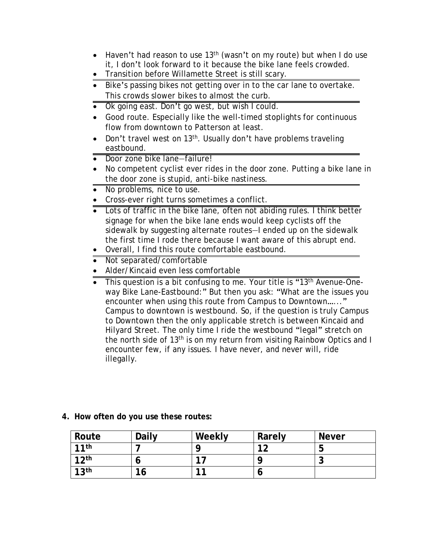- Haven't had reason to use 13<sup>th</sup> (wasn't on my route) but when I do use it, I don't look forward to it because the bike lane feels crowded.
- · Transition before Willamette Street is still scary.
- Bike's passing bikes not getting over in to the car lane to overtake. This crowds slower bikes to almost the curb.
- Ok going east. Don't go west, but wish I could.
- · Good route. Especially like the well-timed stoplights for continuous flow from downtown to Patterson at least.
- Don't travel west on 13<sup>th</sup>. Usually don't have problems traveling eastbound.
- Door zone bike lane-failure!
- · No competent cyclist ever rides in the door zone. Putting a bike lane in the door zone is stupid, anti-bike nastiness.
- No problems, nice to use.
- · Cross-ever right turns sometimes a conflict.
- · Lots of traffic in the bike lane, often not abiding rules. I think better signage for when the bike lane ends would keep cyclists off the sidewalk by suggesting alternate routes—I ended up on the sidewalk the first time I rode there because I want aware of this abrupt end.
- · Overall, I find this route comfortable eastbound.
- · Not separated/comfortable
- · Alder/Kincaid even less comfortable
- This question is a bit confusing to me. Your title is "13<sup>th</sup> Avenue-Oneway Bike Lane-Eastbound:" But then you ask: "What are the issues you encounter when using this route from Campus to Downtown......" Campus to downtown is westbound. So, if the question is truly Campus to Downtown then the only applicable stretch is between Kincaid and Hilyard Street. The only time I ride the westbound "legal" stretch on the north side of 13th is on my return from visiting Rainbow Optics and I encounter few, if any issues. I have never, and never will, ride illegally.

| Route            | <b>Daily</b> | Weekly | Rarely | <b>Never</b> |
|------------------|--------------|--------|--------|--------------|
| 11th             |              |        | 1つ     | b            |
| 12 <sup>th</sup> | O            | 17     |        | ∽<br>ີ       |
| 13 <sup>th</sup> | 16           | 11     | o      |              |

#### **4. How often do you use these routes:**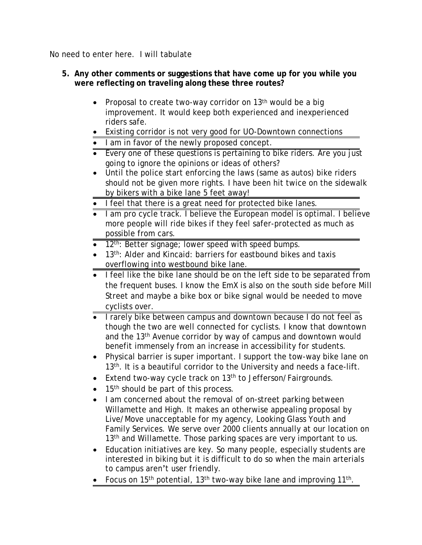No need to enter here. I will tabulate

#### **5. Any other comments or suggestions that have come up for you while you were reflecting on traveling along these three routes?**

- Proposal to create two-way corridor on 13<sup>th</sup> would be a big improvement. It would keep both experienced and inexperienced riders safe.
- Existing corridor is not very good for UO-Downtown connections
- · I am in favor of the newly proposed concept.
- Every one of these questions is pertaining to bike riders. Are you just going to ignore the opinions or ideas of others?
- · Until the police start enforcing the laws (same as autos) bike riders should not be given more rights. I have been hit twice on the sidewalk by bikers with a bike lane 5 feet away!
- · I feel that there is a great need for protected bike lanes.
- I am pro cycle track. I believe the European model is optimal. I believe more people will ride bikes if they feel safer-protected as much as possible from cars.
- 12<sup>th</sup>: Better signage; lower speed with speed bumps.
- 13<sup>th</sup>: Alder and Kincaid: barriers for eastbound bikes and taxis overflowing into westbound bike lane.
- · I feel like the bike lane should be on the left side to be separated from the frequent buses. I know the EmX is also on the south side before Mill Street and maybe a bike box or bike signal would be needed to move cyclists over.
- I rarely bike between campus and downtown because I do not feel as though the two are well connected for cyclists. I know that downtown and the 13<sup>th</sup> Avenue corridor by way of campus and downtown would benefit immensely from an increase in accessibility for students.
- · Physical barrier is super important. I support the tow-way bike lane on 13<sup>th</sup>. It is a beautiful corridor to the University and needs a face-lift.
- Extend two-way cycle track on 13<sup>th</sup> to Jefferson/Fairgrounds.
- $\bullet$  15<sup>th</sup> should be part of this process.
- · I am concerned about the removal of on-street parking between Willamette and High. It makes an otherwise appealing proposal by Live/Move unacceptable for my agency, Looking Glass Youth and Family Services. We serve over 2000 clients annually at our location on 13<sup>th</sup> and Willamette. Those parking spaces are very important to us.
- Education initiatives are key. So many people, especially students are interested in biking but it is difficult to do so when the main arterials to campus aren't user friendly.
- Focus on 15<sup>th</sup> potential, 13<sup>th</sup> two-way bike lane and improving 11<sup>th</sup>.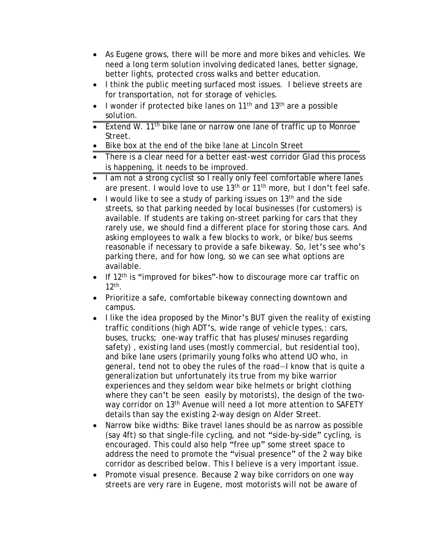- As Eugene grows, there will be more and more bikes and vehicles. We need a long term solution involving dedicated lanes, better signage, better lights, protected cross walks and better education.
- I think the public meeting surfaced most issues. I believe streets are for transportation, not for storage of vehicles.
- I wonder if protected bike lanes on  $11<sup>th</sup>$  and  $13<sup>th</sup>$  are a possible solution.
- Extend W. 11<sup>th</sup> bike lane or narrow one lane of traffic up to Monroe Street.
- · Bike box at the end of the bike lane at Lincoln Street
- There is a clear need for a better east-west corridor Glad this process is happening, it needs to be improved.
- I am not a strong cyclist so I really only feel comfortable where lanes are present. I would love to use 13<sup>th</sup> or 11<sup>th</sup> more, but I don't feel safe.
- I would like to see a study of parking issues on  $13<sup>th</sup>$  and the side streets, so that parking needed by local businesses (for customers) is available. If students are taking on-street parking for cars that they rarely use, we should find a different place for storing those cars. And asking employees to walk a few blocks to work, or bike/bus seems reasonable if necessary to provide a safe bikeway. So, let's see who's parking there, and for how long, so we can see what options are available.
- If  $12<sup>th</sup>$  is "improved for bikes"-how to discourage more car traffic on 12th .
- Prioritize a safe, comfortable bikeway connecting downtown and campus.
- I like the idea proposed by the Minor's BUT given the reality of existing traffic conditions (high ADT's, wide range of vehicle types,: cars, buses, trucks; one-way traffic that has pluses/minuses regarding safety) , existing land uses (mostly commercial, but residential too), and bike lane users (primarily young folks who attend UO who, in general, tend not to obey the rules of the road—I know that is quite a generalization but unfortunately its true from my bike warrior experiences and they seldom wear bike helmets or bright clothing where they can't be seen easily by motorists), the design of the twoway corridor on 13<sup>th</sup> Avenue will need a lot more attention to SAFETY details than say the existing 2-way design on Alder Street.
- Narrow bike widths: Bike travel lanes should be as narrow as possible (say 4ft) so that single-file cycling, and not "side-by-side" cycling, is encouraged. This could also help "free up" some street space to address the need to promote the "visual presence" of the 2 way bike corridor as described below. This I believe is a very important issue.
- Promote visual presence. Because 2 way bike corridors on one way streets are very rare in Eugene, most motorists will not be aware of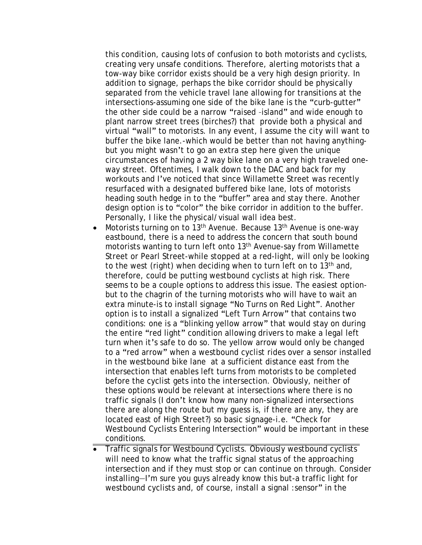this condition, causing lots of confusion to both motorists and cyclists, creating very unsafe conditions. Therefore, alerting motorists that a tow-way bike corridor exists should be a very high design priority. In addition to signage, perhaps the bike corridor should be physically separated from the vehicle travel lane allowing for transitions at the intersections-assuming one side of the bike lane is the "curb-gutter" the other side could be a narrow "raised –island" and wide enough to plant narrow street trees (birches?) that provide both a physical and virtual "wall" to motorists. In any event, I assume the city will want to buffer the bike lane.-which would be better than not having anythingbut you might wasn't to go an extra step here given the unique circumstances of having a 2 way bike lane on a very high traveled oneway street. Oftentimes, I walk down to the DAC and back for my workouts and I've noticed that since Willamette Street was recently resurfaced with a designated buffered bike lane, lots of motorists heading south hedge in to the "buffer" area and stay there. Another design option is to "color" the bike corridor in addition to the buffer. Personally, I like the physical/visual wall idea best.

- Motorists turning on to 13<sup>th</sup> Avenue. Because  $13<sup>th</sup>$  Avenue is one-way eastbound, there is a need to address the concern that south bound motorists wanting to turn left onto 13<sup>th</sup> Avenue-say from Willamette Street or Pearl Street-while stopped at a red-light, will only be looking to the west (right) when deciding when to turn left on to 13<sup>th</sup> and, therefore, could be putting westbound cyclists at high risk. There seems to be a couple options to address this issue. The easiest optionbut to the chagrin of the turning motorists who will have to wait an extra minute-is to install signage "No Turns on Red Light". Another option is to install a signalized "Left Turn Arrow" that contains two conditions: one is a "blinking yellow arrow" that would stay on during the entire "red light" condition allowing drivers to make a legal left turn when it's safe to do so. The yellow arrow would only be changed to a "red arrow" when a westbound cyclist rides over a sensor installed in the westbound bike lane at a sufficient distance east from the intersection that enables left turns from motorists to be completed before the cyclist gets into the intersection. Obviously, neither of these options would be relevant at intersections where there is no traffic signals (I don't know how many non-signalized intersections there are along the route but my guess is, if there are any, they are located east of High Street?) so basic signage-i.e. "Check for Westbound Cyclists Entering Intersection" would be important in these conditions.
- · Traffic signals for Westbound Cyclists. Obviously westbound cyclists will need to know what the traffic signal status of the approaching intersection and if they must stop or can continue on through. Consider installing—I'm sure you guys already know this but-a traffic light for westbound cyclists and, of course, install a signal : sensor" in the